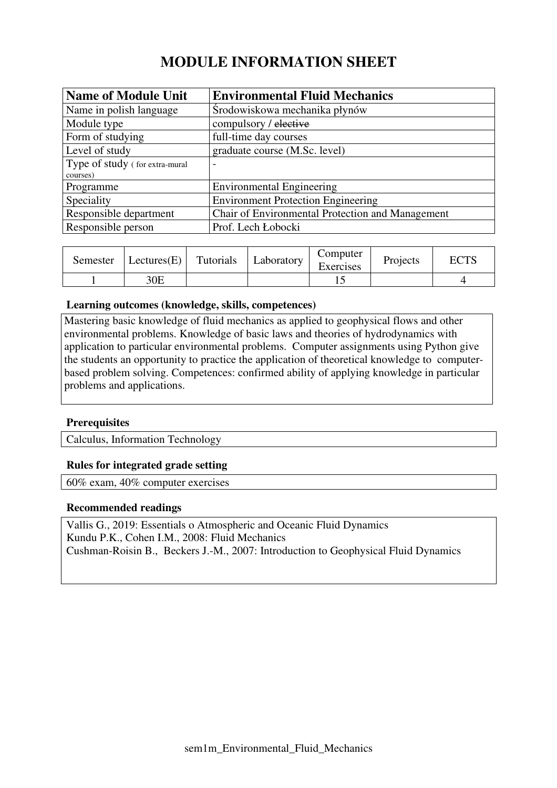# **MODULE INFORMATION SHEET**

| <b>Name of Module Unit</b>     | <b>Environmental Fluid Mechanics</b>             |
|--------------------------------|--------------------------------------------------|
| Name in polish language        | Środowiskowa mechanika płynów                    |
| Module type                    | compulsory / elective                            |
| Form of studying               | full-time day courses                            |
| Level of study                 | graduate course (M.Sc. level)                    |
| Type of study (for extra-mural |                                                  |
| courses)                       |                                                  |
| Programme                      | <b>Environmental Engineering</b>                 |
| Speciality                     | <b>Environment Protection Engineering</b>        |
| Responsible department         | Chair of Environmental Protection and Management |
| Responsible person             | Prof. Lech Łobocki                               |

| Semester | Lectures $(E)$ | Tutorials | Laboratory | Computer<br>Exercises | Projects | <b>ECTS</b> |
|----------|----------------|-----------|------------|-----------------------|----------|-------------|
|          | 30E            |           |            |                       |          |             |

#### **Learning outcomes (knowledge, skills, competences)**

Mastering basic knowledge of fluid mechanics as applied to geophysical flows and other environmental problems. Knowledge of basic laws and theories of hydrodynamics with application to particular environmental problems. Computer assignments using Python give the students an opportunity to practice the application of theoretical knowledge to computerbased problem solving. Competences: confirmed ability of applying knowledge in particular problems and applications.

### **Prerequisites**

Calculus, Information Technology

#### **Rules for integrated grade setting**

60% exam, 40% computer exercises

#### **Recommended readings**

Vallis G., 2019: Essentials o Atmospheric and Oceanic Fluid Dynamics Kundu P.K., Cohen I.M., 2008: Fluid Mechanics Cushman-Roisin B., Beckers J.-M., 2007: Introduction to Geophysical Fluid Dynamics